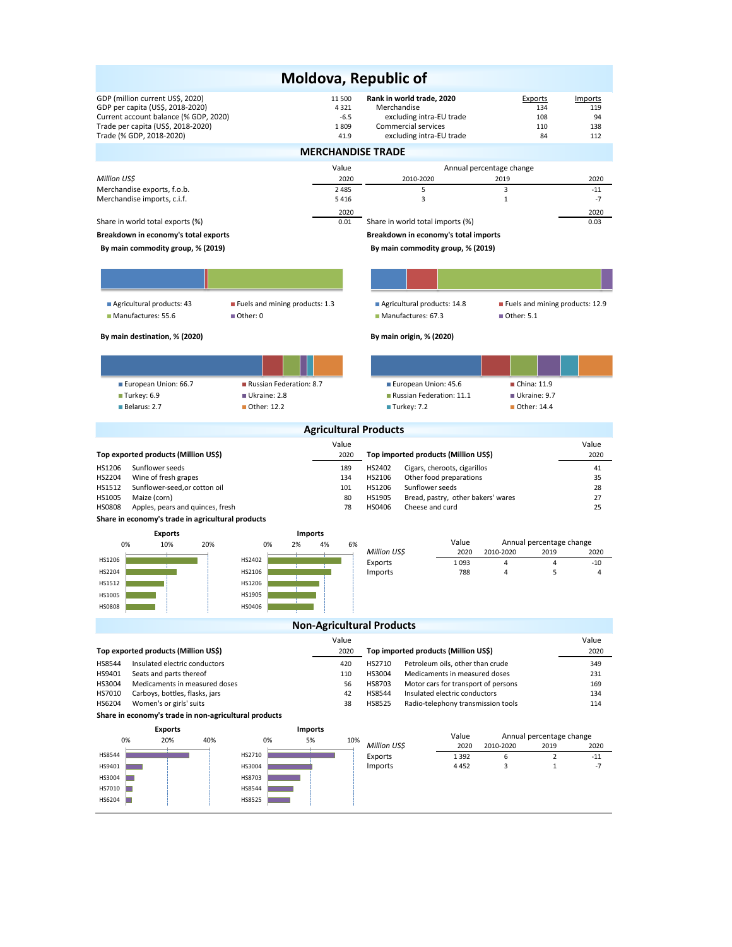|                                                                    |                              | Moldova, Republic of                                                                  |                                               |            |  |  |  |  |  |  |
|--------------------------------------------------------------------|------------------------------|---------------------------------------------------------------------------------------|-----------------------------------------------|------------|--|--|--|--|--|--|
| GDP (million current US\$, 2020)                                   | 11 500                       | Rank in world trade, 2020                                                             | Exports                                       | Imports    |  |  |  |  |  |  |
| GDP per capita (US\$, 2018-2020)                                   | 4321                         | Merchandise                                                                           | 134                                           | 119        |  |  |  |  |  |  |
| Current account balance (% GDP, 2020)                              | $-6.5$                       | excluding intra-EU trade                                                              | 108                                           | 94         |  |  |  |  |  |  |
| Trade per capita (US\$, 2018-2020)                                 | 1809                         | Commercial services                                                                   | 110                                           | 138        |  |  |  |  |  |  |
| Trade (% GDP, 2018-2020)                                           | 41.9                         | excluding intra-EU trade                                                              | 84                                            | 112        |  |  |  |  |  |  |
| <b>MERCHANDISE TRADE</b>                                           |                              |                                                                                       |                                               |            |  |  |  |  |  |  |
|                                                                    | Value                        |                                                                                       | Annual percentage change                      |            |  |  |  |  |  |  |
| Million US\$                                                       | 2020                         | 2010-2020                                                                             | 2019                                          | 2020       |  |  |  |  |  |  |
| Merchandise exports, f.o.b.                                        | 2 4 8 5                      | 5                                                                                     | 3                                             | $-11$      |  |  |  |  |  |  |
| Merchandise imports, c.i.f.                                        | 5416                         | 3                                                                                     | $\mathbf{1}$                                  | $-7$       |  |  |  |  |  |  |
|                                                                    | 2020                         |                                                                                       |                                               | 2020       |  |  |  |  |  |  |
| Share in world total exports (%)                                   | 0.01                         | Share in world total imports (%)                                                      |                                               | 0.03       |  |  |  |  |  |  |
| Breakdown in economy's total exports                               |                              | Breakdown in economy's total imports                                                  |                                               |            |  |  |  |  |  |  |
| By main commodity group, % (2019)                                  |                              | By main commodity group, % (2019)                                                     |                                               |            |  |  |  |  |  |  |
|                                                                    |                              |                                                                                       |                                               |            |  |  |  |  |  |  |
|                                                                    |                              |                                                                                       |                                               |            |  |  |  |  |  |  |
|                                                                    |                              |                                                                                       |                                               |            |  |  |  |  |  |  |
| Agricultural products: 43<br>Fuels and mining products: 1.3        |                              | Agricultural products: 14.8                                                           | Fuels and mining products: 12.9               |            |  |  |  |  |  |  |
| Manufactures: 55.6<br>$\blacksquare$ Other: 0                      |                              | Manufactures: 67.3                                                                    | ■ Other: 5.1                                  |            |  |  |  |  |  |  |
| By main destination, % (2020)                                      |                              | By main origin, % (2020)                                                              |                                               |            |  |  |  |  |  |  |
|                                                                    |                              |                                                                                       |                                               |            |  |  |  |  |  |  |
|                                                                    |                              |                                                                                       |                                               |            |  |  |  |  |  |  |
|                                                                    |                              |                                                                                       |                                               |            |  |  |  |  |  |  |
| European Union: 66.7<br>Russian Federation: 8.7                    |                              | European Union: 45.6                                                                  | China: 11.9                                   |            |  |  |  |  |  |  |
| Turkey: 6.9<br>Ukraine: 2.8                                        |                              | Russian Federation: 11.1                                                              | Ukraine: 9.7                                  |            |  |  |  |  |  |  |
| Belarus: 2.7<br>■ Other: 12.2                                      |                              | ■ Turkey: 7.2                                                                         | ■ Other: 14.4                                 |            |  |  |  |  |  |  |
|                                                                    | <b>Agricultural Products</b> |                                                                                       |                                               |            |  |  |  |  |  |  |
|                                                                    | Value                        |                                                                                       |                                               | Value      |  |  |  |  |  |  |
| Top exported products (Million US\$)                               | 2020                         | Top imported products (Million US\$)                                                  |                                               | 2020       |  |  |  |  |  |  |
| HS1206<br>Sunflower seeds                                          | 189                          | HS2402<br>Cigars, cheroots, cigarillos                                                |                                               | 41         |  |  |  |  |  |  |
| HS2204<br>Wine of fresh grapes                                     | 134                          | HS2106<br>Other food preparations                                                     |                                               | 35         |  |  |  |  |  |  |
| Sunflower-seed, or cotton oil<br>HS1512                            | 101                          | HS1206<br>Sunflower seeds                                                             |                                               | 28         |  |  |  |  |  |  |
| HS1005<br>Maize (corn)                                             | 80                           | HS1905<br>Bread, pastry, other bakers' wares                                          |                                               | 27         |  |  |  |  |  |  |
| <b>HS0808</b><br>Apples, pears and quinces, fresh                  | 78                           | HS0406<br>Cheese and curd                                                             |                                               | 25         |  |  |  |  |  |  |
| Share in economy's trade in agricultural products                  |                              |                                                                                       |                                               |            |  |  |  |  |  |  |
| <b>Imports</b><br><b>Exports</b>                                   |                              |                                                                                       |                                               |            |  |  |  |  |  |  |
| 0%<br>10%<br>20%<br>0%<br>2%                                       | 4%<br>6%                     | Value<br>Million US\$<br>2020                                                         | Annual percentage change<br>2010-2020<br>2019 | 2020       |  |  |  |  |  |  |
| HS1206<br>HS2402                                                   |                              | Exports<br>1093                                                                       | $\overline{4}$<br>4                           | $-10$      |  |  |  |  |  |  |
| HS2204<br>HS2106                                                   |                              | Imports<br>788                                                                        | 5<br>4                                        | 4          |  |  |  |  |  |  |
| HS1206<br>HS1512                                                   |                              |                                                                                       |                                               |            |  |  |  |  |  |  |
| HS1905<br>HS1005                                                   |                              |                                                                                       |                                               |            |  |  |  |  |  |  |
| <b>HS0808</b><br>HS0406                                            |                              |                                                                                       |                                               |            |  |  |  |  |  |  |
|                                                                    |                              | <b>Non-Agricultural Products</b>                                                      |                                               |            |  |  |  |  |  |  |
|                                                                    | Value                        |                                                                                       |                                               | Value      |  |  |  |  |  |  |
| Top exported products (Million US\$)                               | 2020                         | Top imported products (Million US\$)                                                  |                                               | 2020       |  |  |  |  |  |  |
| <b>HS8544</b>                                                      |                              |                                                                                       |                                               |            |  |  |  |  |  |  |
| Insulated electric conductors<br>HS9401<br>Seats and parts thereof | 420<br>110                   | HS2710<br>Petroleum oils, other than crude<br>HS3004<br>Medicaments in measured doses |                                               | 349<br>231 |  |  |  |  |  |  |
| HS3004<br>Medicaments in measured doses                            | 56                           | HS8703<br>Motor cars for transport of persons                                         |                                               | 169        |  |  |  |  |  |  |
| HS7010<br>Carboys, bottles, flasks, jars                           | 42                           | HS8544<br>Insulated electric conductors                                               |                                               | 134        |  |  |  |  |  |  |
| HS6204<br>Women's or girls' suits                                  | 38                           | HS8525<br>Radio-telephony transmission tools                                          |                                               | 114        |  |  |  |  |  |  |
| Share in economy's trade in non-agricultural products              |                              |                                                                                       |                                               |            |  |  |  |  |  |  |
| <b>Exports</b><br>Imports                                          |                              |                                                                                       |                                               |            |  |  |  |  |  |  |
| 0%<br>5%<br>20%<br>40%<br>0%                                       | 10%                          | Value<br>Million US\$<br>2020                                                         | Annual percentage change<br>2010-2020<br>2019 | 2020       |  |  |  |  |  |  |
| HS8544<br>HS2710                                                   |                              | Exports<br>1392                                                                       | 6<br>$\overline{2}$                           | $-11$      |  |  |  |  |  |  |
| HS3004<br>HS9401                                                   |                              | Imports<br>4452                                                                       | 3<br>$\mathbf{1}$                             | $-7$       |  |  |  |  |  |  |
| HS3004<br>HS8703                                                   |                              |                                                                                       |                                               |            |  |  |  |  |  |  |
| HS7010<br>HS8544                                                   |                              |                                                                                       |                                               |            |  |  |  |  |  |  |
| HS6204<br>HS8525                                                   |                              |                                                                                       |                                               |            |  |  |  |  |  |  |
|                                                                    |                              |                                                                                       |                                               |            |  |  |  |  |  |  |
|                                                                    |                              |                                                                                       |                                               |            |  |  |  |  |  |  |